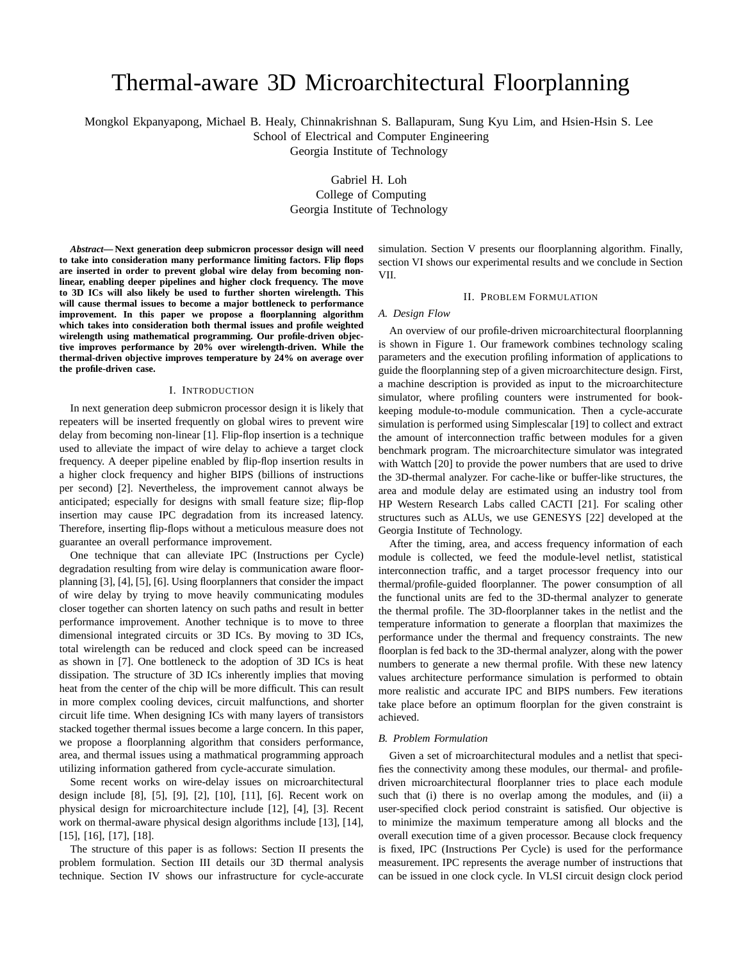# Thermal-aware 3D Microarchitectural Floorplanning

Mongkol Ekpanyapong, Michael B. Healy, Chinnakrishnan S. Ballapuram, Sung Kyu Lim, and Hsien-Hsin S. Lee

School of Electrical and Computer Engineering

Georgia Institute of Technology

Gabriel H. Loh College of Computing Georgia Institute of Technology

*Abstract***— Next generation deep submicron processor design will need to take into consideration many performance limiting factors. Flip flops are inserted in order to prevent global wire delay from becoming nonlinear, enabling deeper pipelines and higher clock frequency. The move to 3D ICs will also likely be used to further shorten wirelength. This will cause thermal issues to become a major bottleneck to performance improvement. In this paper we propose a floorplanning algorithm which takes into consideration both thermal issues and profile weighted wirelength using mathematical programming. Our profile-driven objective improves performance by 20% over wirelength-driven. While the thermal-driven objective improves temperature by 24% on average over the profile-driven case.**

### I. INTRODUCTION

In next generation deep submicron processor design it is likely that repeaters will be inserted frequently on global wires to prevent wire delay from becoming non-linear [1]. Flip-flop insertion is a technique used to alleviate the impact of wire delay to achieve a target clock frequency. A deeper pipeline enabled by flip-flop insertion results in a higher clock frequency and higher BIPS (billions of instructions per second) [2]. Nevertheless, the improvement cannot always be anticipated; especially for designs with small feature size; flip-flop insertion may cause IPC degradation from its increased latency. Therefore, inserting flip-flops without a meticulous measure does not guarantee an overall performance improvement.

One technique that can alleviate IPC (Instructions per Cycle) degradation resulting from wire delay is communication aware floorplanning [3], [4], [5], [6]. Using floorplanners that consider the impact of wire delay by trying to move heavily communicating modules closer together can shorten latency on such paths and result in better performance improvement. Another technique is to move to three dimensional integrated circuits or 3D ICs. By moving to 3D ICs, total wirelength can be reduced and clock speed can be increased as shown in [7]. One bottleneck to the adoption of 3D ICs is heat dissipation. The structure of 3D ICs inherently implies that moving heat from the center of the chip will be more difficult. This can result in more complex cooling devices, circuit malfunctions, and shorter circuit life time. When designing ICs with many layers of transistors stacked together thermal issues become a large concern. In this paper, we propose a floorplanning algorithm that considers performance, area, and thermal issues using a mathmatical programming approach utilizing information gathered from cycle-accurate simulation.

Some recent works on wire-delay issues on microarchitectural design include [8], [5], [9], [2], [10], [11], [6]. Recent work on physical design for microarchitecture include [12], [4], [3]. Recent work on thermal-aware physical design algorithms include [13], [14], [15], [16], [17], [18].

The structure of this paper is as follows: Section II presents the problem formulation. Section III details our 3D thermal analysis technique. Section IV shows our infrastructure for cycle-accurate simulation. Section V presents our floorplanning algorithm. Finally, section VI shows our experimental results and we conclude in Section VII.

#### II. PROBLEM FORMULATION

#### *A. Design Flow*

An overview of our profile-driven microarchitectural floorplanning is shown in Figure 1. Our framework combines technology scaling parameters and the execution profiling information of applications to guide the floorplanning step of a given microarchitecture design. First, a machine description is provided as input to the microarchitecture simulator, where profiling counters were instrumented for bookkeeping module-to-module communication. Then a cycle-accurate simulation is performed using Simplescalar [19] to collect and extract the amount of interconnection traffic between modules for a given benchmark program. The microarchitecture simulator was integrated with Wattch [20] to provide the power numbers that are used to drive the 3D-thermal analyzer. For cache-like or buffer-like structures, the area and module delay are estimated using an industry tool from HP Western Research Labs called CACTI [21]. For scaling other structures such as ALUs, we use GENESYS [22] developed at the Georgia Institute of Technology.

After the timing, area, and access frequency information of each module is collected, we feed the module-level netlist, statistical interconnection traffic, and a target processor frequency into our thermal/profile-guided floorplanner. The power consumption of all the functional units are fed to the 3D-thermal analyzer to generate the thermal profile. The 3D-floorplanner takes in the netlist and the temperature information to generate a floorplan that maximizes the performance under the thermal and frequency constraints. The new floorplan is fed back to the 3D-thermal analyzer, along with the power numbers to generate a new thermal profile. With these new latency values architecture performance simulation is performed to obtain more realistic and accurate IPC and BIPS numbers. Few iterations take place before an optimum floorplan for the given constraint is achieved.

#### *B. Problem Formulation*

Given a set of microarchitectural modules and a netlist that specifies the connectivity among these modules, our thermal- and profiledriven microarchitectural floorplanner tries to place each module such that (i) there is no overlap among the modules, and (ii) a user-specified clock period constraint is satisfied. Our objective is to minimize the maximum temperature among all blocks and the overall execution time of a given processor. Because clock frequency is fixed, IPC (Instructions Per Cycle) is used for the performance measurement. IPC represents the average number of instructions that can be issued in one clock cycle. In VLSI circuit design clock period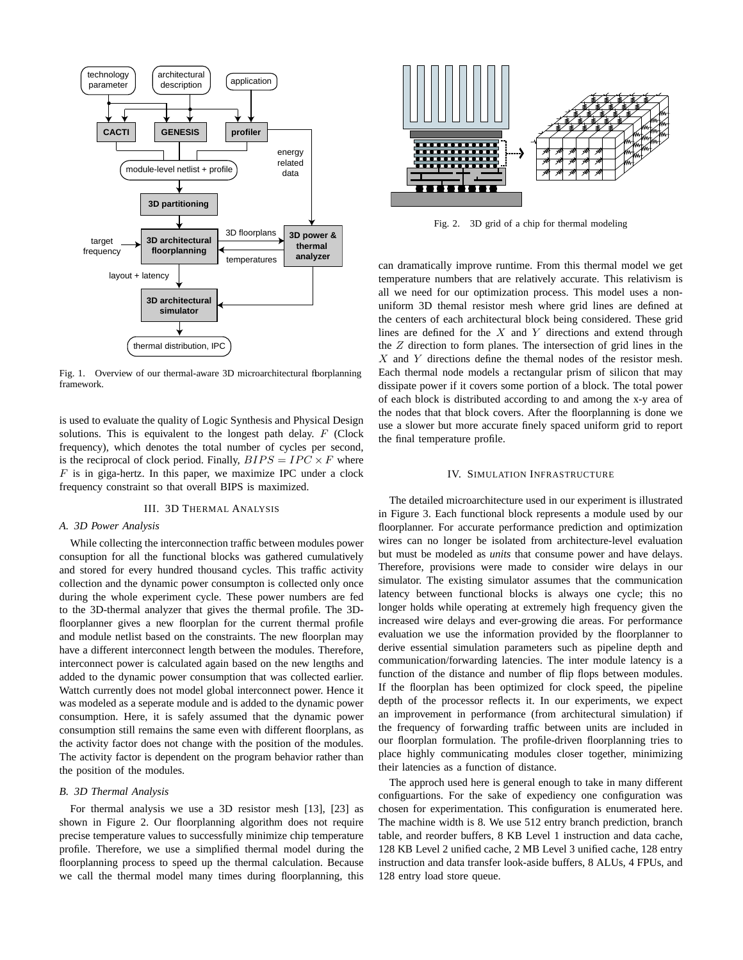

Fig. 1. Overview of our thermal-aware 3D microarchitectural fborplanning framework.

is used to evaluate the quality of Logic Synthesis and Physical Design solutions. This is equivalent to the longest path delay.  $F$  (Clock frequency), which denotes the total number of cycles per second, is the reciprocal of clock period. Finally,  $BIPS = IPC \times F$  where  $F$  is in giga-hertz. In this paper, we maximize IPC under a clock frequency constraint so that overall BIPS is maximized.

## III. 3D THERMAL ANALYSIS

#### *A. 3D Power Analysis*

While collecting the interconnection traffic between modules power consuption for all the functional blocks was gathered cumulatively and stored for every hundred thousand cycles. This traffic activity collection and the dynamic power consumpton is collected only once during the whole experiment cycle. These power numbers are fed to the 3D-thermal analyzer that gives the thermal profile. The 3Dfloorplanner gives a new floorplan for the current thermal profile and module netlist based on the constraints. The new floorplan may have a different interconnect length between the modules. Therefore, interconnect power is calculated again based on the new lengths and added to the dynamic power consumption that was collected earlier. Wattch currently does not model global interconnect power. Hence it was modeled as a seperate module and is added to the dynamic power consumption. Here, it is safely assumed that the dynamic power consumption still remains the same even with different floorplans, as the activity factor does not change with the position of the modules. The activity factor is dependent on the program behavior rather than the position of the modules.

# *B. 3D Thermal Analysis*

For thermal analysis we use a 3D resistor mesh [13], [23] as shown in Figure 2. Our floorplanning algorithm does not require precise temperature values to successfully minimize chip temperature profile. Therefore, we use a simplified thermal model during the floorplanning process to speed up the thermal calculation. Because we call the thermal model many times during floorplanning, this



Fig. 2. 3D grid of a chip for thermal modeling

can dramatically improve runtime. From this thermal model we get temperature numbers that are relatively accurate. This relativism is all we need for our optimization process. This model uses a nonuniform 3D themal resistor mesh where grid lines are defined at the centers of each architectural block being considered. These grid lines are defined for the  $X$  and  $Y$  directions and extend through the  $Z$  direction to form planes. The intersection of grid lines in the  $X$  and  $Y$  directions define the themal nodes of the resistor mesh. Each thermal node models a rectangular prism of silicon that may dissipate power if it covers some portion of a block. The total power of each block is distributed according to and among the x-y area of the nodes that that block covers. After the floorplanning is done we use a slower but more accurate finely spaced uniform grid to report the final temperature profile.

#### IV. SIMULATION INFRASTRUCTURE

The detailed microarchitecture used in our experiment is illustrated in Figure 3. Each functional block represents a module used by our floorplanner. For accurate performance prediction and optimization wires can no longer be isolated from architecture-level evaluation but must be modeled as *units* that consume power and have delays. Therefore, provisions were made to consider wire delays in our simulator. The existing simulator assumes that the communication latency between functional blocks is always one cycle; this no longer holds while operating at extremely high frequency given the increased wire delays and ever-growing die areas. For performance evaluation we use the information provided by the floorplanner to derive essential simulation parameters such as pipeline depth and communication/forwarding latencies. The inter module latency is a function of the distance and number of flip flops between modules. If the floorplan has been optimized for clock speed, the pipeline depth of the processor reflects it. In our experiments, we expect an improvement in performance (from architectural simulation) if the frequency of forwarding traffic between units are included in our floorplan formulation. The profile-driven floorplanning tries to place highly communicating modules closer together, minimizing their latencies as a function of distance.

The approch used here is general enough to take in many different configuartions. For the sake of expediency one configuration was chosen for experimentation. This configuration is enumerated here. The machine width is 8. We use 512 entry branch prediction, branch table, and reorder buffers, 8 KB Level 1 instruction and data cache, 128 KB Level 2 unified cache, 2 MB Level 3 unified cache, 128 entry instruction and data transfer look-aside buffers, 8 ALUs, 4 FPUs, and 128 entry load store queue.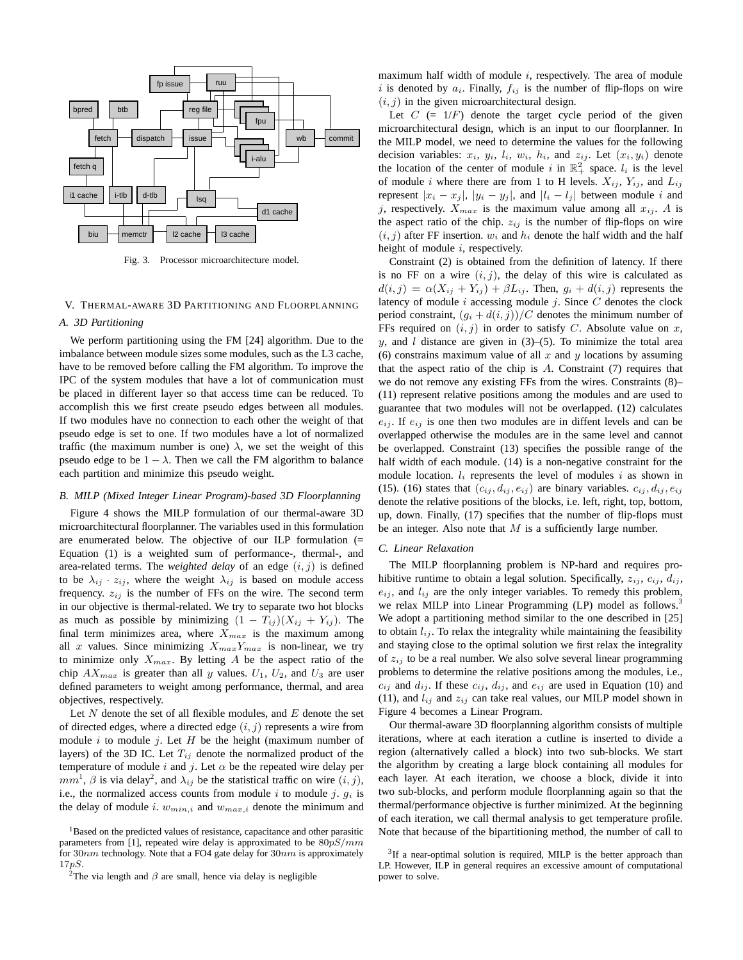

Fig. 3. Processor microarchitecture model.

# V. THERMAL-AWARE 3D PARTITIONING AND FLOORPLANNING

#### *A. 3D Partitioning*

We perform partitioning using the FM [24] algorithm. Due to the imbalance between module sizes some modules, such as the L3 cache, have to be removed before calling the FM algorithm. To improve the IPC of the system modules that have a lot of communication must be placed in different layer so that access time can be reduced. To accomplish this we first create pseudo edges between all modules. If two modules have no connection to each other the weight of that pseudo edge is set to one. If two modules have a lot of normalized traffic (the maximum number is one)  $\lambda$ , we set the weight of this pseudo edge to be  $1 - \lambda$ . Then we call the FM algorithm to balance each partition and minimize this pseudo weight.

#### *B. MILP (Mixed Integer Linear Program)-based 3D Floorplanning*

Figure 4 shows the MILP formulation of our thermal-aware 3D microarchitectural floorplanner. The variables used in this formulation are enumerated below. The objective of our ILP formulation (= Equation (1) is a weighted sum of performance-, thermal-, and area-related terms. The *weighted delay* of an edge  $(i, j)$  is defined to be  $\lambda_{ij} \cdot z_{ij}$ , where the weight  $\lambda_{ij}$  is based on module access frequency.  $z_{ij}$  is the number of FFs on the wire. The second term in our objective is thermal-related. We try to separate two hot blocks as much as possible by minimizing  $(1 - T_{ij})(X_{ij} + Y_{ij})$ . The final term minimizes area, where  $X_{max}$  is the maximum among all x values. Since minimizing  $X_{max}Y_{max}$  is non-linear, we try to minimize only  $X_{max}$ . By letting A be the aspect ratio of the chip  $AX_{max}$  is greater than all y values.  $U_1$ ,  $U_2$ , and  $U_3$  are user defined parameters to weight among performance, thermal, and area objectives, respectively.

Let  $N$  denote the set of all flexible modules, and  $E$  denote the set of directed edges, where a directed edge  $(i, j)$  represents a wire from module  $i$  to module  $j$ . Let  $H$  be the height (maximum number of layers) of the 3D IC. Let  $T_{ij}$  denote the normalized product of the temperature of module i and j. Let  $\alpha$  be the repeated wire delay per  $mm<sup>1</sup>$ ,  $\beta$  is via delay<sup>2</sup>, and  $\lambda_{ij}$  be the statistical traffic on wire  $(i, j)$ , i.e., the normalized access counts from module i to module j.  $g_i$  is the delay of module i.  $w_{min,i}$  and  $w_{max,i}$  denote the minimum and maximum half width of module  $i$ , respectively. The area of module i is denoted by  $a_i$ . Finally,  $f_{ij}$  is the number of flip-flops on wire  $(i, j)$  in the given microarchitectural design.

Let  $C = 1/F$  denote the target cycle period of the given microarchitectural design, which is an input to our floorplanner. In the MILP model, we need to determine the values for the following decision variables:  $x_i$ ,  $y_i$ ,  $l_i$ ,  $w_i$ ,  $h_i$ , and  $z_{ij}$ . Let  $(x_i, y_i)$  denote the location of the center of module i in  $\mathbb{R}^2_+$  space.  $l_i$  is the level of module i where there are from 1 to H levels.  $X_{ij}$ ,  $Y_{ij}$ , and  $L_{ij}$ represent  $|x_i - x_j|$ ,  $|y_i - y_j|$ , and  $|l_i - l_j|$  between module i and j, respectively.  $X_{max}$  is the maximum value among all  $x_{ij}$ . A is the aspect ratio of the chip.  $z_{ij}$  is the number of flip-flops on wire  $(i, j)$  after FF insertion.  $w_i$  and  $h_i$  denote the half width and the half height of module *i*, respectively.

Constraint (2) is obtained from the definition of latency. If there is no FF on a wire  $(i, j)$ , the delay of this wire is calculated as  $d(i, j) = \alpha(X_{ij} + Y_{ij}) + \beta L_{ij}$ . Then,  $g_i + d(i, j)$  represents the latency of module  $i$  accessing module  $j$ . Since  $C$  denotes the clock period constraint,  $(g_i + d(i, j))/C$  denotes the minimum number of FFs required on  $(i, j)$  in order to satisfy C. Absolute value on x, y, and l distance are given in  $(3)$ – $(5)$ . To minimize the total area (6) constrains maximum value of all  $x$  and  $y$  locations by assuming that the aspect ratio of the chip is  $A$ . Constraint  $(7)$  requires that we do not remove any existing FFs from the wires. Constraints (8)– (11) represent relative positions among the modules and are used to guarantee that two modules will not be overlapped. (12) calculates  $e_{ij}$ . If  $e_{ij}$  is one then two modules are in diffent levels and can be overlapped otherwise the modules are in the same level and cannot be overlapped. Constraint (13) specifies the possible range of the half width of each module. (14) is a non-negative constraint for the module location.  $l_i$  represents the level of modules i as shown in (15). (16) states that  $(c_{ij}, d_{ij}, e_{ij})$  are binary variables.  $c_{ij}, d_{ij}, e_{ij}$ denote the relative positions of the blocks, i.e. left, right, top, bottom, up, down. Finally, (17) specifies that the number of flip-flops must be an integer. Also note that  $M$  is a sufficiently large number.

### *C. Linear Relaxation*

The MILP floorplanning problem is NP-hard and requires prohibitive runtime to obtain a legal solution. Specifically,  $z_{ij}$ ,  $c_{ij}$ ,  $d_{ij}$ ,  $e_{ij}$ , and  $l_{ij}$  are the only integer variables. To remedy this problem, we relax MILP into Linear Programming (LP) model as follows.<sup>3</sup> We adopt a partitioning method similar to the one described in [25] to obtain  $l_{ij}$ . To relax the integrality while maintaining the feasibility and staying close to the optimal solution we first relax the integrality of  $z_{ij}$  to be a real number. We also solve several linear programming problems to determine the relative positions among the modules, i.e.,  $c_{ij}$  and  $d_{ij}$ . If these  $c_{ij}$ ,  $d_{ij}$ , and  $e_{ij}$  are used in Equation (10) and (11), and  $l_{ij}$  and  $z_{ij}$  can take real values, our MILP model shown in Figure 4 becomes a Linear Program.

Our thermal-aware 3D floorplanning algorithm consists of multiple iterations, where at each iteration a cutline is inserted to divide a region (alternatively called a block) into two sub-blocks. We start the algorithm by creating a large block containing all modules for each layer. At each iteration, we choose a block, divide it into two sub-blocks, and perform module floorplanning again so that the thermal/performance objective is further minimized. At the beginning of each iteration, we call thermal analysis to get temperature profile. Note that because of the bipartitioning method, the number of call to

<sup>&</sup>lt;sup>1</sup>Based on the predicted values of resistance, capacitance and other parasitic parameters from [1], repeated wire delay is approximated to be  $80pS/mm$ for  $30nm$  technology. Note that a FO4 gate delay for  $30nm$  is approximately 17pS.

<sup>&</sup>lt;sup>2</sup>The via length and  $\beta$  are small, hence via delay is negligible

 $3$ If a near-optimal solution is required, MILP is the better approach than LP. However, ILP in general requires an excessive amount of computational power to solve.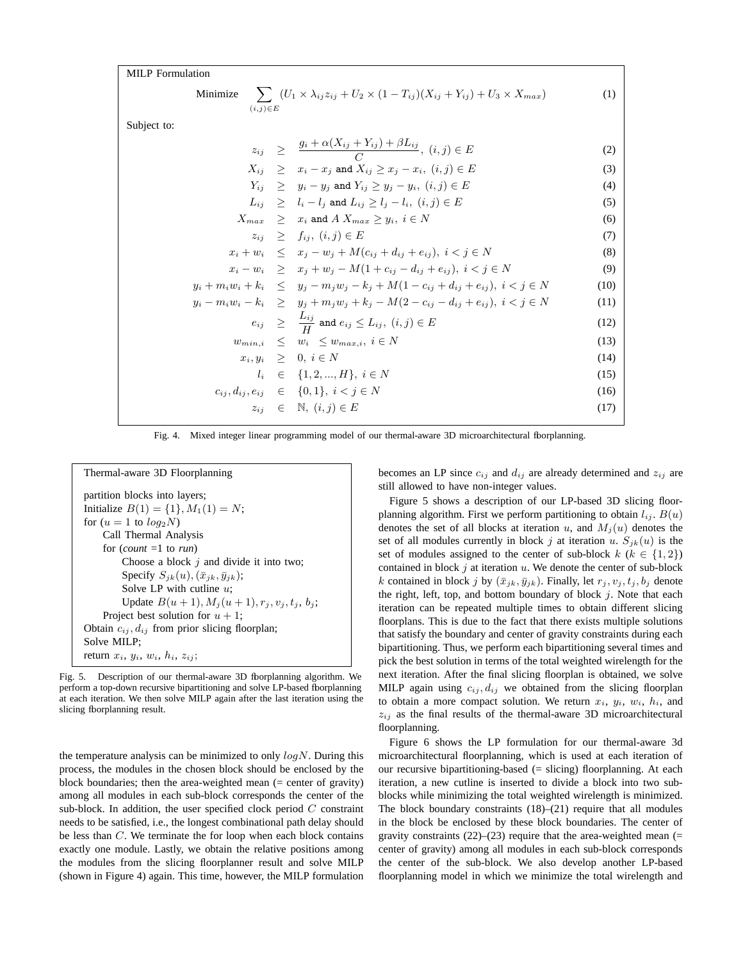MILP Formulation

Minimize 
$$
\sum_{(i,j)\in E} (U_1 \times \lambda_{ij} z_{ij} + U_2 \times (1 - T_{ij})(X_{ij} + Y_{ij}) + U_3 \times X_{max})
$$
 (1)

Subject to:

$$
z_{ij} \geq \frac{g_i + \alpha (X_{ij} + Y_{ij}) + \beta L_{ij}}{C}, (i, j) \in E
$$
 (2)

$$
X_{ij} \geq x_i - x_j \text{ and } X_{ij} \geq x_j - x_i, \ (i, j) \in E
$$
 (3)

$$
Y_{ij} \geq y_i - y_j \text{ and } Y_{ij} \geq y_j - y_i, \ (i, j) \in E
$$
 (4)

$$
L_{ij} \ge l_i - l_j \text{ and } L_{ij} \ge l_j - l_i, \ (i, j) \in E
$$
\n
$$
(5)
$$

 $X_{max} \geq x_i$  and  $A X_{max} \geq y_i, i \in N$  (6)

$$
z_{ij} \geq f_{ij}, \ (i,j) \in E \tag{7}
$$

 $x_i + w_i \leq x_j - w_j + M(c_{ij} + d_{ij} + e_{ij}), \ i < j \in N$  (8)  $-w_i \geq x_i + w_i - M(1 + c_{ii} - d_{ii} + e_{ii}), i < j \in N$  (9)

$$
y_i + m_i w_i + k_i \leq y_j - m_j w_j - k_j + M(1 - c_{ij} + d_{ij} + e_{ij}), \ i < j \in N
$$
 (10)

$$
y_i - m_i w_i - k_i \geq y_j + m_j w_j + k_j - M(2 - c_{ij} - d_{ij} + e_{ij}), \ i < j \in N
$$
 (11)

$$
e_{ij} \geq \frac{L_{ij}}{I'} \text{ and } e_{ij} \leq L_{ij}, \ (i,j) \in E
$$
 (12)

 $\frac{U_{ij}}{H}$  and  $e_{ij} \le L_{ij}, \ (i,j) \in E$  (12)  $w_{min,i} \leq w_i \leq w_{max,i}, i \in N$  (13)  $x_i, y_i \geq 0, i \in N$  (14)  $l_i \in \{1, 2, ..., H\}, i \in N$  (15)

$$
c_{ij}, d_{ij}, e_{ij} \in \{0, 1\}, i < j \in N
$$
  
\n
$$
z_{ij} \in \mathbb{N}, (i, j) \in E
$$
\n(16)

Fig. 4. Mixed integer linear programming model of our thermal-aware 3D microarchitectural floorplanning.

Thermal-aware 3D Floorplanning partition blocks into layers; Initialize  $B(1) = \{1\}, M_1(1) = N;$ for  $(u = 1$  to  $log_2 N$ ) Call Thermal Analysis for (*count* =1 to *run*) Choose a block  $j$  and divide it into two; Specify  $S_{ik}(u)$ ,  $(\bar{x}_{jk}, \bar{y}_{jk});$ Solve LP with cutline  $u$ ; Update  $B(u + 1)$ ,  $M_i(u + 1)$ ,  $r_i$ ,  $v_i$ ,  $t_i$ ,  $b_i$ ; Project best solution for  $u + 1$ ; Obtain  $c_{ij}$ ,  $d_{ij}$  from prior slicing floorplan; Solve MILP; return  $x_i$ ,  $y_i$ ,  $w_i$ ,  $h_i$ ,  $z_{ij}$ ;

Fig. 5. Description of our thermal-aware 3D fborplanning algorithm. We perform a top-down recursive bipartitioning and solve LP-based fborplanning at each iteration. We then solve MILP again after the last iteration using the slicing fborplanning result.

the temperature analysis can be minimized to only  $log N$ . During this process, the modules in the chosen block should be enclosed by the block boundaries; then the area-weighted mean  $(=$  center of gravity) among all modules in each sub-block corresponds the center of the sub-block. In addition, the user specified clock period  $C$  constraint needs to be satisfied, i.e., the longest combinational path delay should be less than C. We terminate the for loop when each block contains exactly one module. Lastly, we obtain the relative positions among the modules from the slicing floorplanner result and solve MILP (shown in Figure 4) again. This time, however, the MILP formulation becomes an LP since  $c_{ij}$  and  $d_{ij}$  are already determined and  $z_{ij}$  are still allowed to have non-integer values.

Figure 5 shows a description of our LP-based 3D slicing floorplanning algorithm. First we perform partitioning to obtain  $l_{ij}$ .  $B(u)$ denotes the set of all blocks at iteration u, and  $M_i(u)$  denotes the set of all modules currently in block j at iteration u.  $S_{ik}(u)$  is the set of modules assigned to the center of sub-block  $k$  ( $k \in \{1, 2\}$ ) contained in block  $j$  at iteration  $u$ . We denote the center of sub-block k contained in block j by  $(\bar{x}_{jk}, \bar{y}_{jk})$ . Finally, let  $r_j, v_j, t_j, b_j$  denote the right, left, top, and bottom boundary of block  $j$ . Note that each iteration can be repeated multiple times to obtain different slicing floorplans. This is due to the fact that there exists multiple solutions that satisfy the boundary and center of gravity constraints during each bipartitioning. Thus, we perform each bipartitioning several times and pick the best solution in terms of the total weighted wirelength for the next iteration. After the final slicing floorplan is obtained, we solve MILP again using  $c_{ij}$ ,  $d_{ij}$  we obtained from the slicing floorplan to obtain a more compact solution. We return  $x_i$ ,  $y_i$ ,  $w_i$ ,  $h_i$ , and  $z_{ij}$  as the final results of the thermal-aware 3D microarchitectural floorplanning.

Figure 6 shows the LP formulation for our thermal-aware 3d microarchitectural floorplanning, which is used at each iteration of our recursive bipartitioning-based (= slicing) floorplanning. At each iteration, a new cutline is inserted to divide a block into two subblocks while minimizing the total weighted wirelength is minimized. The block boundary constraints (18)–(21) require that all modules in the block be enclosed by these block boundaries. The center of gravity constraints  $(22)$ – $(23)$  require that the area-weighted mean (= center of gravity) among all modules in each sub-block corresponds the center of the sub-block. We also develop another LP-based floorplanning model in which we minimize the total wirelength and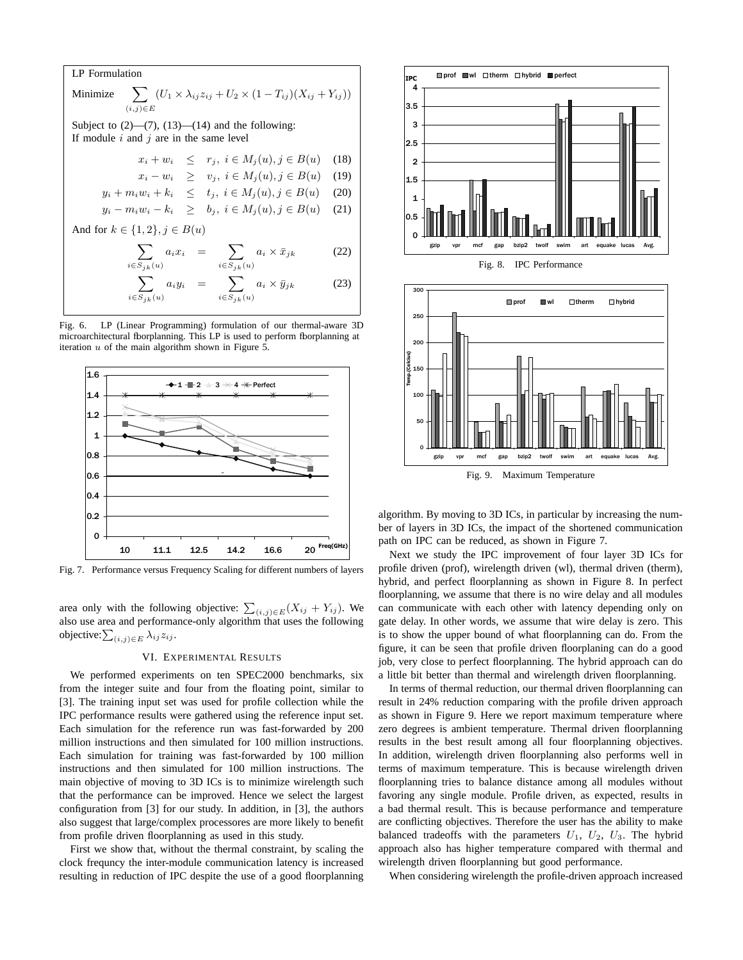LP Formulation

\nMinimize 
$$
\sum_{(i,j)\in E} (U_1 \times \lambda_{ij} z_{ij} + U_2 \times (1 - T_{ij})(X_{ij} + Y_{ij}))
$$

\nSubject to (2)—(7), (13)—(14) and the following:

\nIf module  $i$  and  $j$  are in the same level

\n
$$
x_i + w_i \leq r_j, \ i \in M_j(u), j \in B(u) \quad (18)
$$
\n
$$
x_i - w_i \geq v_j, \ i \in M_j(u), j \in B(u) \quad (19)
$$
\n
$$
y_i + m_i w_i + k_i \leq t_j, \ i \in M_j(u), j \in B(u) \quad (20)
$$
\n
$$
y_i - m_i w_i - k_i \geq b_j, \ i \in M_j(u), j \in B(u) \quad (21)
$$
\nAnd for  $k \in \{1, 2\}, j \in B(u)$ 

\n
$$
\sum_{i \in S_{jk}(u)} a_i x_i = \sum_{i \in S_{jk}(u)} a_i \times \bar{x}_{jk} \qquad (22)
$$

$$
\sum_{i \in S_{jk}(u)} a_i y_i = \sum_{i \in S_{jk}(u)} a_i \times \bar{y}_{jk}
$$
 (23)

Fig. 6. LP (Linear Programming) formulation of our thermal-aware 3D microarchitectural fborplanning. This LP is used to perform fborplanning at iteration  $u$  of the main algorithm shown in Figure 5.



Fig. 7. Performance versus Frequency Scaling for different numbers of layers

area only with the following objective:  $\sum_{(i,j)\in E} (X_{ij} + Y_{ij})$ . We also use area and performance-only algorithm that uses the following objective: $\sum_{(i,j)\in E} \lambda_{ij} z_{ij}$ .

# VI. EXPERIMENTAL RESULTS

We performed experiments on ten SPEC2000 benchmarks, six from the integer suite and four from the floating point, similar to [3]. The training input set was used for profile collection while the IPC performance results were gathered using the reference input set. Each simulation for the reference run was fast-forwarded by 200 million instructions and then simulated for 100 million instructions. Each simulation for training was fast-forwarded by 100 million instructions and then simulated for 100 million instructions. The main objective of moving to 3D ICs is to minimize wirelength such that the performance can be improved. Hence we select the largest configuration from [3] for our study. In addition, in [3], the authors also suggest that large/complex processores are more likely to benefit from profile driven floorplanning as used in this study.

First we show that, without the thermal constraint, by scaling the clock frequncy the inter-module communication latency is increased resulting in reduction of IPC despite the use of a good floorplanning



0 -0 gzip v pr mcf gap bzip2 twolf swim art equake lucas Av g. Fig. 9. Maximum Temperature algorithm. By moving to 3D ICs, in particular by increasing the number of layers in 3D ICs, the impact of the shortened communication path on IPC can be reduced, as shown in Figure 7.

Next we study the IPC improvement of four layer 3D ICs for profile driven (prof), wirelength driven (wl), thermal driven (therm), hybrid, and perfect floorplanning as shown in Figure 8. In perfect floorplanning, we assume that there is no wire delay and all modules can communicate with each other with latency depending only on gate delay. In other words, we assume that wire delay is zero. This is to show the upper bound of what floorplanning can do. From the figure, it can be seen that profile driven floorplaning can do a good job, very close to perfect floorplanning. The hybrid approach can do a little bit better than thermal and wirelength driven floorplanning.

In terms of thermal reduction, our thermal driven floorplanning can result in 24% reduction comparing with the profile driven approach as shown in Figure 9. Here we report maximum temperature where zero degrees is ambient temperature. Thermal driven floorplanning results in the best result among all four floorplanning objectives. In addition, wirelength driven floorplanning also performs well in terms of maximum temperature. This is because wirelength driven floorplanning tries to balance distance among all modules without favoring any single module. Profile driven, as expected, results in a bad thermal result. This is because performance and temperature are conflicting objectives. Therefore the user has the ability to make balanced tradeoffs with the parameters  $U_1$ ,  $U_2$ ,  $U_3$ . The hybrid approach also has higher temperature compared with thermal and wirelength driven floorplanning but good performance.

When considering wirelength the profile-driven approach increased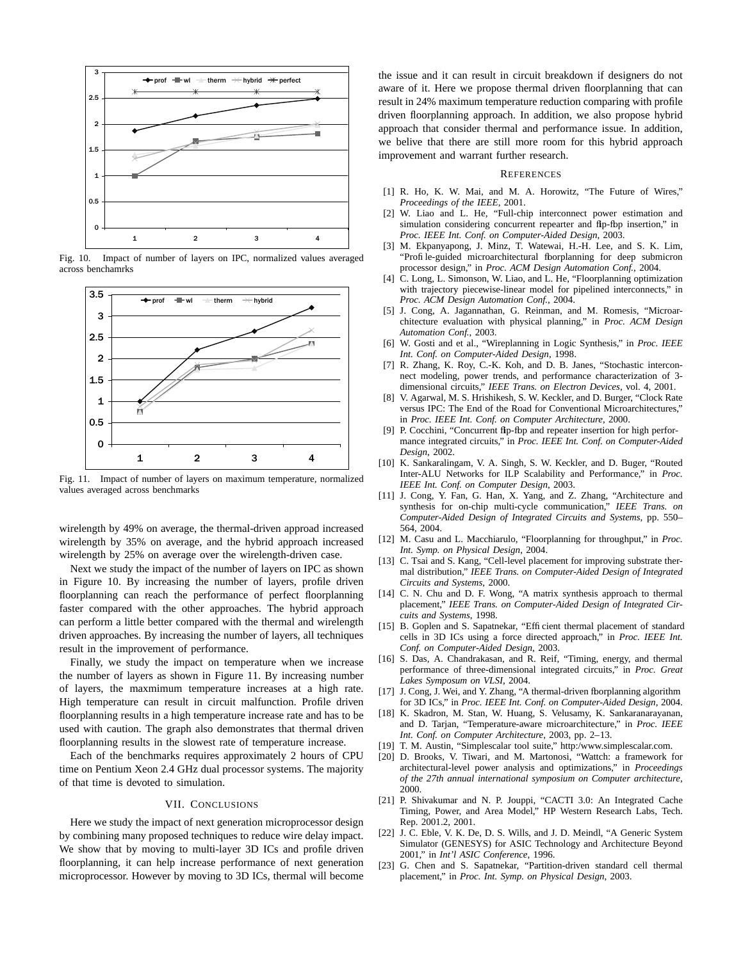

Fig. 10. Impact of number of layers on IPC, normalized values averaged across benchamrks



Fig. 11. Impact of number of layers on maximum temperature, normalized values averaged across benchmarks

wirelength by 49% on average, the thermal-driven approad increased wirelength by 35% on average, and the hybrid approach increased wirelength by 25% on average over the wirelength-driven case.

Next we study the impact of the number of layers on IPC as shown in Figure 10. By increasing the number of layers, profile driven floorplanning can reach the performance of perfect floorplanning faster compared with the other approaches. The hybrid approach can perform a little better compared with the thermal and wirelength driven approaches. By increasing the number of layers, all techniques result in the improvement of performance.

Finally, we study the impact on temperature when we increase the number of layers as shown in Figure 11. By increasing number of layers, the maxmimum temperature increases at a high rate. High temperature can result in circuit malfunction. Profile driven floorplanning results in a high temperature increase rate and has to be used with caution. The graph also demonstrates that thermal driven floorplanning results in the slowest rate of temperature increase.

Each of the benchmarks requires approximately 2 hours of CPU time on Pentium Xeon 2.4 GHz dual processor systems. The majority of that time is devoted to simulation.

# VII. CONCLUSIONS

Here we study the impact of next generation microprocessor design by combining many proposed techniques to reduce wire delay impact. We show that by moving to multi-layer 3D ICs and profile driven floorplanning, it can help increase performance of next generation microprocessor. However by moving to 3D ICs, thermal will become

the issue and it can result in circuit breakdown if designers do not aware of it. Here we propose thermal driven floorplanning that can result in 24% maximum temperature reduction comparing with profile driven floorplanning approach. In addition, we also propose hybrid approach that consider thermal and performance issue. In addition, we belive that there are still more room for this hybrid approach improvement and warrant further research.

#### **REFERENCES**

- [1] R. Ho, K. W. Mai, and M. A. Horowitz, "The Future of Wires," *Proceedings of the IEEE*, 2001.
- [2] W. Liao and L. He, "Full-chip interconnect power estimation and simulation considering concurrent repearter and flp-fbp insertion," in *Proc. IEEE Int. Conf. on Computer-Aided Design*, 2003.
- [3] M. Ekpanyapong, J. Minz, T. Watewai, H.-H. Lee, and S. K. Lim, "Profile-guided microarchitectural floorplanning for deep submicron processor design," in *Proc. ACM Design Automation Conf.*, 2004.
- [4] C. Long, L. Simonson, W. Liao, and L. He, "Floorplanning optimization with trajectory piecewise-linear model for pipelined interconnects," in *Proc. ACM Design Automation Conf.*, 2004.
- [5] J. Cong, A. Jagannathan, G. Reinman, and M. Romesis, "Microarchitecture evaluation with physical planning," in *Proc. ACM Design Automation Conf.*, 2003.
- [6] W. Gosti and et al., "Wireplanning in Logic Synthesis," in *Proc. IEEE Int. Conf. on Computer-Aided Design*, 1998.
- [7] R. Zhang, K. Roy, C.-K. Koh, and D. B. Janes, "Stochastic interconnect modeling, power trends, and performance characterization of 3 dimensional circuits," *IEEE Trans. on Electron Devices*, vol. 4, 2001.
- [8] V. Agarwal, M. S. Hrishikesh, S. W. Keckler, and D. Burger, "Clock Rate versus IPC: The End of the Road for Conventional Microarchitectures," in *Proc. IEEE Int. Conf. on Computer Architecture*, 2000.
- [9] P. Cocchini, "Concurrent flp-fbp and repeater insertion for high performance integrated circuits," in *Proc. IEEE Int. Conf. on Computer-Aided Design*, 2002.
- [10] K. Sankaralingam, V. A. Singh, S. W. Keckler, and D. Buger, "Routed Inter-ALU Networks for ILP Scalability and Performance," in *Proc. IEEE Int. Conf. on Computer Design*, 2003.
- [11] J. Cong, Y. Fan, G. Han, X. Yang, and Z. Zhang, "Architecture and synthesis for on-chip multi-cycle communication," *IEEE Trans. on Computer-Aided Design of Integrated Circuits and Systems*, pp. 550– 564, 2004.
- [12] M. Casu and L. Macchiarulo, "Floorplanning for throughput," in *Proc. Int. Symp. on Physical Design*, 2004.
- [13] C. Tsai and S. Kang, "Cell-level placement for improving substrate thermal distribution," *IEEE Trans. on Computer-Aided Design of Integrated Circuits and Systems*, 2000.
- [14] C. N. Chu and D. F. Wong, "A matrix synthesis approach to thermal placement," *IEEE Trans. on Computer-Aided Design of Integrated Circuits and Systems*, 1998.
- [15] B. Goplen and S. Sapatnekar, "Efficient thermal placement of standard cells in 3D ICs using a force directed approach," in *Proc. IEEE Int. Conf. on Computer-Aided Design*, 2003.
- [16] S. Das, A. Chandrakasan, and R. Reif, "Timing, energy, and thermal performance of three-dimensional integrated circuits," in *Proc. Great Lakes Symposum on VLSI*, 2004.
- J. Cong, J. Wei, and Y. Zhang, "A thermal-driven floorplanning algorithm for 3D ICs," in *Proc. IEEE Int. Conf. on Computer-Aided Design*, 2004.
- [18] K. Skadron, M. Stan, W. Huang, S. Velusamy, K. Sankaranarayanan, and D. Tarjan, "Temperature-aware microarchitecture," in *Proc. IEEE Int. Conf. on Computer Architecture*, 2003, pp. 2–13.
- [19] T. M. Austin, "Simplescalar tool suite," http:/www.simplescalar.com.
- [20] D. Brooks, V. Tiwari, and M. Martonosi, "Wattch: a framework for architectural-level power analysis and optimizations," in *Proceedings of the 27th annual international symposium on Computer architecture*, 2000.
- [21] P. Shivakumar and N. P. Jouppi, "CACTI 3.0: An Integrated Cache Timing, Power, and Area Model," HP Western Research Labs, Tech. Rep. 2001.2, 2001.
- [22] J. C. Eble, V. K. De, D. S. Wills, and J. D. Meindl, "A Generic System Simulator (GENESYS) for ASIC Technology and Architecture Beyond 2001," in *Int'l ASIC Conference*, 1996.
- [23] G. Chen and S. Sapatnekar, "Partition-driven standard cell thermal placement," in *Proc. Int. Symp. on Physical Design*, 2003.